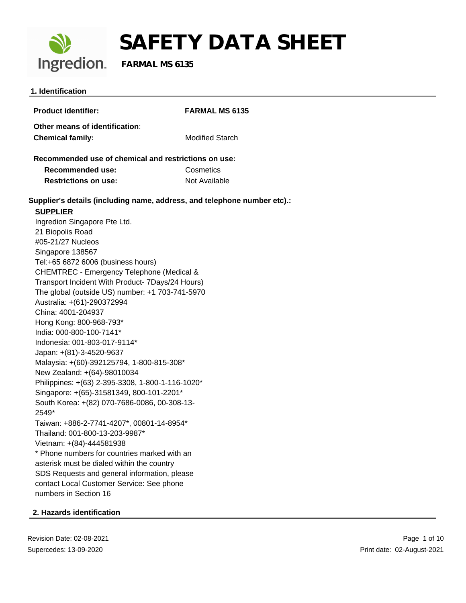

# **SAFETY DATA SHEET**<br>Ingredion. FARMAL MS 6135

 **FARMAL MS 6135**

#### **1. Identification**

| <b>Product identifier:</b>                                                  | <b>FARMAL MS 6135</b>  |  |
|-----------------------------------------------------------------------------|------------------------|--|
| Other means of identification:                                              |                        |  |
| <b>Chemical family:</b>                                                     | <b>Modified Starch</b> |  |
|                                                                             |                        |  |
| Recommended use of chemical and restrictions on use:                        |                        |  |
| Recommended use:                                                            | Cosmetics              |  |
| <b>Restrictions on use:</b>                                                 | Not Available          |  |
| Supplier's details (including name, address, and telephone number etc).:    |                        |  |
| <b>SUPPLIER</b>                                                             |                        |  |
| Ingredion Singapore Pte Ltd.                                                |                        |  |
| 21 Biopolis Road                                                            |                        |  |
| #05-21/27 Nucleos                                                           |                        |  |
| Singapore 138567                                                            |                        |  |
| Tel:+65 6872 6006 (business hours)                                          |                        |  |
| CHEMTREC - Emergency Telephone (Medical &                                   |                        |  |
| Transport Incident With Product- 7Days/24 Hours)                            |                        |  |
| The global (outside US) number: +1 703-741-5970                             |                        |  |
| Australia: +(61)-290372994                                                  |                        |  |
| China: 4001-204937                                                          |                        |  |
| Hong Kong: 800-968-793*                                                     |                        |  |
| India: 000-800-100-7141*                                                    |                        |  |
| Indonesia: 001-803-017-9114*                                                |                        |  |
| Japan: +(81)-3-4520-9637                                                    |                        |  |
| Malaysia: +(60)-392125794, 1-800-815-308*                                   |                        |  |
| New Zealand: +(64)-98010034                                                 |                        |  |
| Philippines: +(63) 2-395-3308, 1-800-1-116-1020*                            |                        |  |
| Singapore: +(65)-31581349, 800-101-2201*                                    |                        |  |
| South Korea: +(82) 070-7686-0086, 00-308-13-                                |                        |  |
| 2549*                                                                       |                        |  |
| Taiwan: +886-2-7741-4207*, 00801-14-8954*<br>Thailand: 001-800-13-203-9987* |                        |  |
| Vietnam: +(84)-444581938                                                    |                        |  |
| * Phone numbers for countries marked with an                                |                        |  |
| asterisk must be dialed within the country                                  |                        |  |
| SDS Requests and general information, please                                |                        |  |
| contact Local Customer Service: See phone                                   |                        |  |
| numbers in Section 16                                                       |                        |  |
|                                                                             |                        |  |

#### **2. Hazards identification**

Revision Date: 02-08-2021 Supercedes: 13-09-2020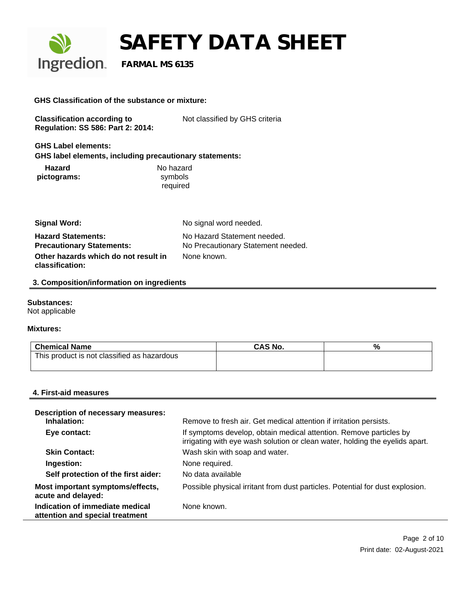

#### **GHS Classification of the substance or mixture:**

| <b>Classification according to</b>       | Not classified by GHS criteria |
|------------------------------------------|--------------------------------|
| <b>Regulation: SS 586: Part 2: 2014:</b> |                                |

**GHS Label elements: GHS label elements, including precautionary statements:**

| <b>Hazard</b> | No hazard |
|---------------|-----------|
| pictograms:   | symbols   |
|               | required  |

| <b>Signal Word:</b>                                           | No signal word needed.                                            |
|---------------------------------------------------------------|-------------------------------------------------------------------|
| <b>Hazard Statements:</b><br><b>Precautionary Statements:</b> | No Hazard Statement needed.<br>No Precautionary Statement needed. |
| Other hazards which do not result in<br>classification:       | None known.                                                       |

#### **3. Composition/information on ingredients**

#### **Substances:**

Not applicable

#### **Mixtures:**

| ∣ Chemical Name                             | <b>CAS No.</b> | % |
|---------------------------------------------|----------------|---|
| This product is not classified as hazardous |                |   |
|                                             |                |   |

#### **4. First-aid measures**

| <b>Description of necessary measures:</b><br>Inhalation:           | Remove to fresh air. Get medical attention if irritation persists.                                                                                 |
|--------------------------------------------------------------------|----------------------------------------------------------------------------------------------------------------------------------------------------|
| Eye contact:                                                       | If symptoms develop, obtain medical attention. Remove particles by<br>irrigating with eye wash solution or clean water, holding the eyelids apart. |
| <b>Skin Contact:</b>                                               | Wash skin with soap and water.                                                                                                                     |
| Ingestion:                                                         | None required.                                                                                                                                     |
| Self protection of the first aider:                                | No data available                                                                                                                                  |
| Most important symptoms/effects,<br>acute and delayed:             | Possible physical irritant from dust particles. Potential for dust explosion.                                                                      |
| Indication of immediate medical<br>attention and special treatment | None known.                                                                                                                                        |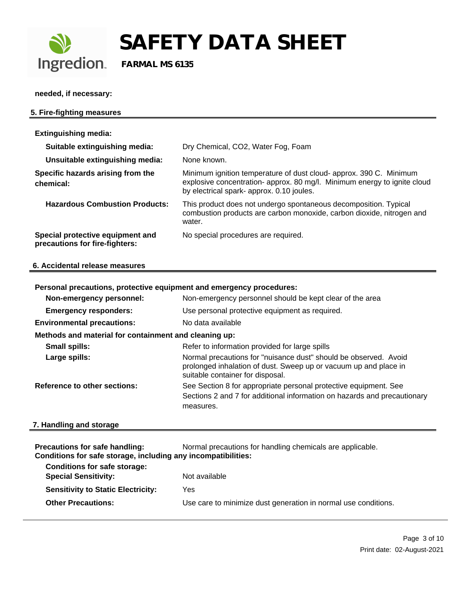

**needed, if necessary:**

### **5. Fire-fighting measures Extinguishing media: Suitable extinguishing media:** Dry Chemical, CO2, Water Fog, Foam **Unsuitable extinguishing media:** None known. **Specific hazards arising from the chemical:** Minimum ignition temperature of dust cloud- approx. 390 C. Minimum explosive concentration- approx. 80 mg/l. Minimum energy to ignite cloud by electrical spark- approx. 0.10 joules. **Hazardous Combustion Products:** This product does not undergo spontaneous decomposition. Typical combustion products are carbon monoxide, carbon dioxide, nitrogen and water. **Special protective equipment and precautions for fire-fighters:** No special procedures are required. **6. Accidental release measures**

| Personal precautions, protective equipment and emergency procedures:                                                                                                     |  |  |
|--------------------------------------------------------------------------------------------------------------------------------------------------------------------------|--|--|
| Non-emergency personnel should be kept clear of the area                                                                                                                 |  |  |
| Use personal protective equipment as required.                                                                                                                           |  |  |
| No data available                                                                                                                                                        |  |  |
| Methods and material for containment and cleaning up:                                                                                                                    |  |  |
| Refer to information provided for large spills                                                                                                                           |  |  |
| Normal precautions for "nuisance dust" should be observed. Avoid<br>prolonged inhalation of dust. Sweep up or vacuum up and place in<br>suitable container for disposal. |  |  |
| See Section 8 for appropriate personal protective equipment. See<br>Sections 2 and 7 for additional information on hazards and precautionary<br>measures.                |  |  |
|                                                                                                                                                                          |  |  |

#### **7. Handling and storage**

| <b>Precautions for safe handling:</b><br>Conditions for safe storage, including any incompatibilities: | Normal precautions for handling chemicals are applicable.      |
|--------------------------------------------------------------------------------------------------------|----------------------------------------------------------------|
| <b>Conditions for safe storage:</b><br><b>Special Sensitivity:</b>                                     | Not available                                                  |
| <b>Sensitivity to Static Electricity:</b>                                                              | Yes                                                            |
| <b>Other Precautions:</b>                                                                              | Use care to minimize dust generation in normal use conditions. |
|                                                                                                        |                                                                |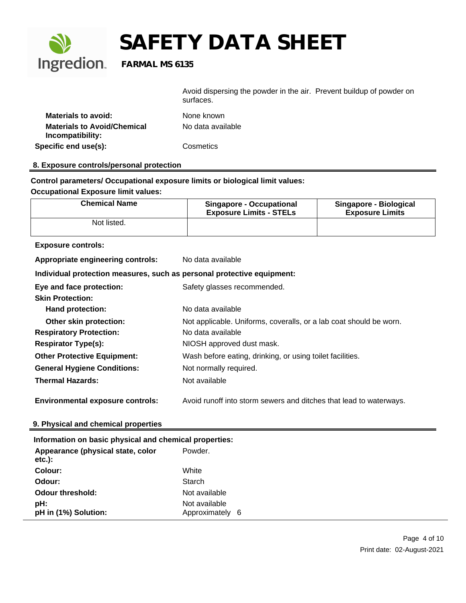

Avoid dispersing the powder in the air. Prevent buildup of powder on surfaces.

| <b>Materials to avoid:</b>         | None known        |
|------------------------------------|-------------------|
| <b>Materials to Avoid/Chemical</b> | No data available |
| Incompatibility:                   |                   |
| Specific end use(s):               | Cosmetics         |

#### **8. Exposure controls/personal protection**

**Control parameters/ Occupational exposure limits or biological limit values:**

#### **Occupational Exposure limit values:**

| <b>Chemical Name</b> | <b>Singapore - Occupational</b><br><b>Exposure Limits - STELs</b> | Singapore - Biological<br><b>Exposure Limits</b> |
|----------------------|-------------------------------------------------------------------|--------------------------------------------------|
| Not listed.          |                                                                   |                                                  |

#### **Exposure controls:**

| Appropriate engineering controls:                                      | No data available                                                  |
|------------------------------------------------------------------------|--------------------------------------------------------------------|
| Individual protection measures, such as personal protective equipment: |                                                                    |
| Eye and face protection:                                               | Safety glasses recommended.                                        |
| <b>Skin Protection:</b>                                                |                                                                    |
| <b>Hand protection:</b>                                                | No data available                                                  |
| Other skin protection:                                                 | Not applicable. Uniforms, coveralls, or a lab coat should be worn. |
| <b>Respiratory Protection:</b>                                         | No data available                                                  |
| <b>Respirator Type(s):</b>                                             | NIOSH approved dust mask.                                          |
| <b>Other Protective Equipment:</b>                                     | Wash before eating, drinking, or using toilet facilities.          |
| <b>General Hygiene Conditions:</b>                                     | Not normally required.                                             |
| <b>Thermal Hazards:</b>                                                | Not available                                                      |
|                                                                        |                                                                    |

**Environmental exposure controls:** Avoid runoff into storm sewers and ditches that lead to waterways.

#### **9. Physical and chemical properties**

| Information on basic physical and chemical properties: |                                  |
|--------------------------------------------------------|----------------------------------|
| Appearance (physical state, color<br>$etc.$ ):         | Powder.                          |
| Colour:                                                | White                            |
| Odour:                                                 | Starch                           |
| <b>Odour threshold:</b>                                | Not available                    |
| pH:<br>pH in (1%) Solution:                            | Not available<br>Approximately 6 |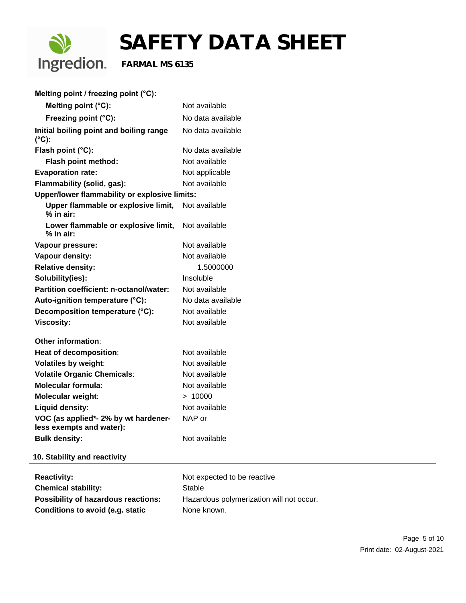

# **SAFETY DATA SHEET**<br>Ingredion. FARMAL MS 6135

 **FARMAL MS 6135**

**Melting point / freezing point (°C):** 

| Melting point (°C):                                              | Not available                            |
|------------------------------------------------------------------|------------------------------------------|
| Freezing point (°C):                                             | No data available                        |
| Initial boiling point and boiling range<br>$(^{\circ}C)$ :       | No data available                        |
| Flash point (°C):                                                | No data available                        |
| Flash point method:                                              | Not available                            |
| <b>Evaporation rate:</b>                                         | Not applicable                           |
| Flammability (solid, gas):                                       | Not available                            |
| Upper/lower flammability or explosive limits:                    |                                          |
| Upper flammable or explosive limit,<br>$%$ in air:               | Not available                            |
| Lower flammable or explosive limit,<br>$%$ in air:               | Not available                            |
| Vapour pressure:                                                 | Not available                            |
| Vapour density:                                                  | Not available                            |
| <b>Relative density:</b>                                         | 1.5000000                                |
| Solubility(ies):                                                 | Insoluble                                |
| <b>Partition coefficient: n-octanol/water:</b>                   | Not available                            |
| Auto-ignition temperature (°C):                                  | No data available                        |
| Decomposition temperature (°C):                                  | Not available                            |
| <b>Viscosity:</b>                                                | Not available                            |
| Other information:                                               |                                          |
| Heat of decomposition:                                           | Not available                            |
| <b>Volatiles by weight:</b>                                      | Not available                            |
| <b>Volatile Organic Chemicals:</b>                               | Not available                            |
| <b>Molecular formula:</b>                                        | Not available                            |
| <b>Molecular weight:</b>                                         | > 10000                                  |
| Liquid density:                                                  | Not available                            |
| VOC (as applied*- 2% by wt hardener-<br>less exempts and water): | NAP or                                   |
| <b>Bulk density:</b>                                             | Not available                            |
| 10. Stability and reactivity                                     |                                          |
| <b>Reactivity:</b>                                               | Not expected to be reactive              |
| <b>Chemical stability:</b>                                       | <b>Stable</b>                            |
| <b>Possibility of hazardous reactions:</b>                       | Hazardous polymerization will not occur. |
| <b>Conditions to avoid (e.g. static</b>                          | None known.                              |
|                                                                  |                                          |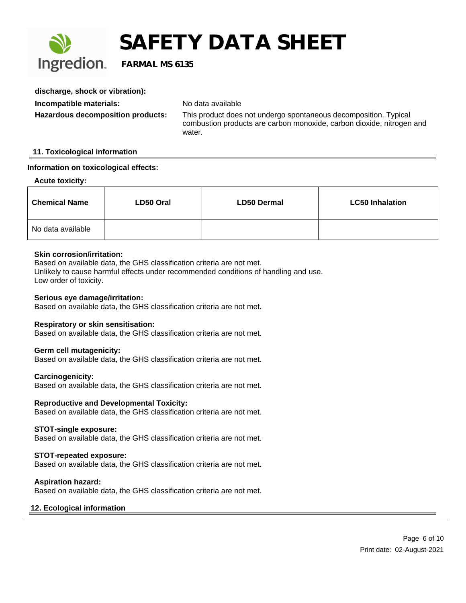

| discharge, shock or vibration):   |                                                                                                                                                     |
|-----------------------------------|-----------------------------------------------------------------------------------------------------------------------------------------------------|
| Incompatible materials:           | No data available                                                                                                                                   |
| Hazardous decomposition products: | This product does not undergo spontaneous decomposition. Typical<br>combustion products are carbon monoxide, carbon dioxide, nitrogen and<br>water. |

#### **11. Toxicological information**

#### **Information on toxicological effects:**

#### **Acute toxicity:**

| <b>Chemical Name</b> | LD50 Oral | <b>LD50 Dermal</b> | <b>LC50 Inhalation</b> |
|----------------------|-----------|--------------------|------------------------|
| No data available    |           |                    |                        |

#### **Skin corrosion/irritation:**

Based on available data, the GHS classification criteria are not met. Unlikely to cause harmful effects under recommended conditions of handling and use. Low order of toxicity.

#### **Serious eye damage/irritation:**

Based on available data, the GHS classification criteria are not met.

#### **Respiratory or skin sensitisation:**

Based on available data, the GHS classification criteria are not met.

#### **Germ cell mutagenicity:**

Based on available data, the GHS classification criteria are not met.

#### **Carcinogenicity:**

Based on available data, the GHS classification criteria are not met.

#### **Reproductive and Developmental Toxicity:**

Based on available data, the GHS classification criteria are not met.

#### **STOT-single exposure:**

Based on available data, the GHS classification criteria are not met.

#### **STOT-repeated exposure:**

Based on available data, the GHS classification criteria are not met.

#### **Aspiration hazard:**

Based on available data, the GHS classification criteria are not met.

#### **12. Ecological information**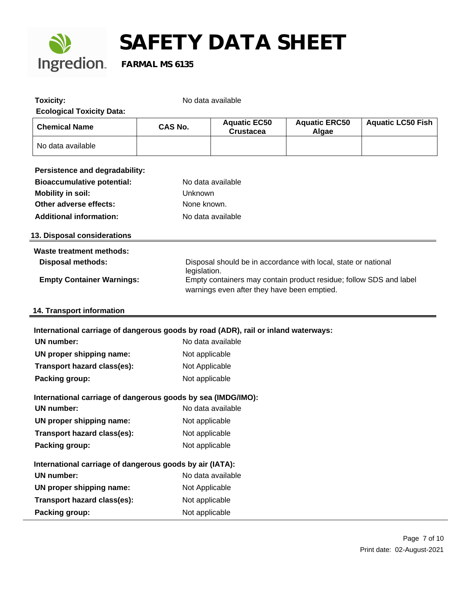

| <b>Toxicity:</b><br><b>Ecological Toxicity Data:</b>                                                    |                | No data available                                                                                                                 |                                                                |                          |  |  |  |  |
|---------------------------------------------------------------------------------------------------------|----------------|-----------------------------------------------------------------------------------------------------------------------------------|----------------------------------------------------------------|--------------------------|--|--|--|--|
| <b>Chemical Name</b>                                                                                    | <b>CAS No.</b> | <b>Aquatic EC50</b><br><b>Crustacea</b>                                                                                           | <b>Aquatic ERC50</b><br>Algae                                  | <b>Aquatic LC50 Fish</b> |  |  |  |  |
| No data available                                                                                       |                |                                                                                                                                   |                                                                |                          |  |  |  |  |
| Persistence and degradability:                                                                          |                |                                                                                                                                   |                                                                |                          |  |  |  |  |
| <b>Bioaccumulative potential:</b>                                                                       |                | No data available                                                                                                                 |                                                                |                          |  |  |  |  |
| <b>Mobility in soil:</b>                                                                                | Unknown        |                                                                                                                                   |                                                                |                          |  |  |  |  |
| Other adverse effects:                                                                                  | None known.    |                                                                                                                                   |                                                                |                          |  |  |  |  |
| <b>Additional information:</b>                                                                          |                | No data available                                                                                                                 |                                                                |                          |  |  |  |  |
| 13. Disposal considerations                                                                             |                |                                                                                                                                   |                                                                |                          |  |  |  |  |
| <b>Waste treatment methods:</b>                                                                         |                |                                                                                                                                   |                                                                |                          |  |  |  |  |
| <b>Disposal methods:</b>                                                                                |                |                                                                                                                                   | Disposal should be in accordance with local, state or national |                          |  |  |  |  |
| <b>Empty Container Warnings:</b>                                                                        |                | legislation.<br>Empty containers may contain product residue; follow SDS and label<br>warnings even after they have been emptied. |                                                                |                          |  |  |  |  |
| 14. Transport information                                                                               |                |                                                                                                                                   |                                                                |                          |  |  |  |  |
| International carriage of dangerous goods by road (ADR), rail or inland waterways:<br><b>UN number:</b> |                | No data available                                                                                                                 |                                                                |                          |  |  |  |  |
|                                                                                                         |                |                                                                                                                                   |                                                                |                          |  |  |  |  |
| UN proper shipping name:                                                                                | Not applicable |                                                                                                                                   |                                                                |                          |  |  |  |  |
| Transport hazard class(es):                                                                             | Not Applicable |                                                                                                                                   |                                                                |                          |  |  |  |  |
| Packing group:                                                                                          | Not applicable |                                                                                                                                   |                                                                |                          |  |  |  |  |
| International carriage of dangerous goods by sea (IMDG/IMO):                                            |                |                                                                                                                                   |                                                                |                          |  |  |  |  |
| <b>UN number:</b>                                                                                       |                | No data available                                                                                                                 |                                                                |                          |  |  |  |  |
| UN proper shipping name:                                                                                | Not applicable |                                                                                                                                   |                                                                |                          |  |  |  |  |
| Transport hazard class(es):                                                                             | Not applicable |                                                                                                                                   |                                                                |                          |  |  |  |  |
| Packing group:                                                                                          | Not applicable |                                                                                                                                   |                                                                |                          |  |  |  |  |
| International carriage of dangerous goods by air (IATA):                                                |                |                                                                                                                                   |                                                                |                          |  |  |  |  |
| <b>UN number:</b>                                                                                       |                | No data available                                                                                                                 |                                                                |                          |  |  |  |  |
| UN proper shipping name:                                                                                | Not Applicable |                                                                                                                                   |                                                                |                          |  |  |  |  |
| Transport hazard class(es):                                                                             | Not applicable |                                                                                                                                   |                                                                |                          |  |  |  |  |
| Packing group:                                                                                          | Not applicable |                                                                                                                                   |                                                                |                          |  |  |  |  |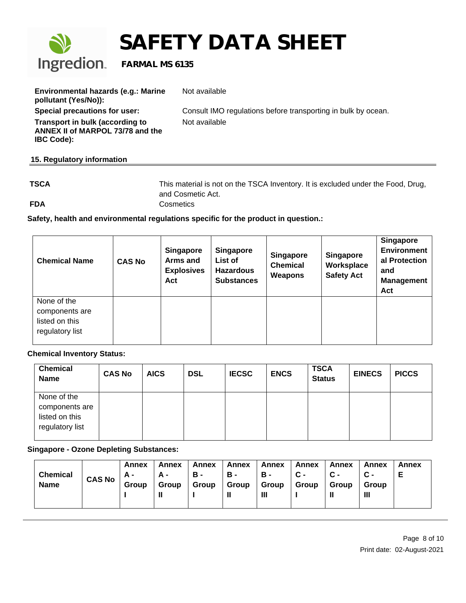

| Environmental hazards (e.g.: Marine<br>pollutant (Yes/No)):                              | Not available                                                 |
|------------------------------------------------------------------------------------------|---------------------------------------------------------------|
| Special precautions for user:                                                            | Consult IMO regulations before transporting in bulk by ocean. |
| Transport in bulk (according to<br>ANNEX II of MARPOL 73/78 and the<br><b>IBC Code):</b> | Not available                                                 |

#### **15. Regulatory information**

| <b>TSCA</b> | This material is not on the TSCA Inventory. It is excluded under the Food, Drug, |
|-------------|----------------------------------------------------------------------------------|
|             | and Cosmetic Act.                                                                |
| <b>FDA</b>  | Cosmetics                                                                        |

**Safety, health and environmental regulations specific for the product in question.:** 

| <b>Chemical Name</b>                                               | <b>CAS No</b> | <b>Singapore</b><br>Arms and<br><b>Explosives</b><br>Act | <b>Singapore</b><br>List of<br><b>Hazardous</b><br><b>Substances</b> | <b>Singapore</b><br><b>Chemical</b><br>Weapons | <b>Singapore</b><br>Worksplace<br><b>Safety Act</b> | <b>Singapore</b><br><b>Environment</b><br>al Protection<br>and<br><b>Management</b><br>Act |
|--------------------------------------------------------------------|---------------|----------------------------------------------------------|----------------------------------------------------------------------|------------------------------------------------|-----------------------------------------------------|--------------------------------------------------------------------------------------------|
| None of the<br>components are<br>listed on this<br>regulatory list |               |                                                          |                                                                      |                                                |                                                     |                                                                                            |

#### **Chemical Inventory Status:**

| <b>Chemical</b><br><b>Name</b>                                     | <b>CAS No</b> | <b>AICS</b> | <b>DSL</b> | <b>IECSC</b> | <b>ENCS</b> | <b>TSCA</b><br><b>Status</b> | <b>EINECS</b> | <b>PICCS</b> |
|--------------------------------------------------------------------|---------------|-------------|------------|--------------|-------------|------------------------------|---------------|--------------|
| None of the<br>components are<br>listed on this<br>regulatory list |               |             |            |              |             |                              |               |              |

**Singapore - Ozone Depleting Substances:**

| <b>Chemical</b><br><b>Name</b> | <b>CAS No</b> | Annex<br>A -<br>Group | Annex<br>А -<br>Group<br>н | Annex<br>в-<br>Group | Annex<br>в-<br>Group<br>Ш | Annex<br>в-<br>Group<br>Ш | Annex<br>$\mathbf{C}$ -<br>Group | Annex<br>Group | Annex<br>Group<br>Ш | Annex |  |
|--------------------------------|---------------|-----------------------|----------------------------|----------------------|---------------------------|---------------------------|----------------------------------|----------------|---------------------|-------|--|
|--------------------------------|---------------|-----------------------|----------------------------|----------------------|---------------------------|---------------------------|----------------------------------|----------------|---------------------|-------|--|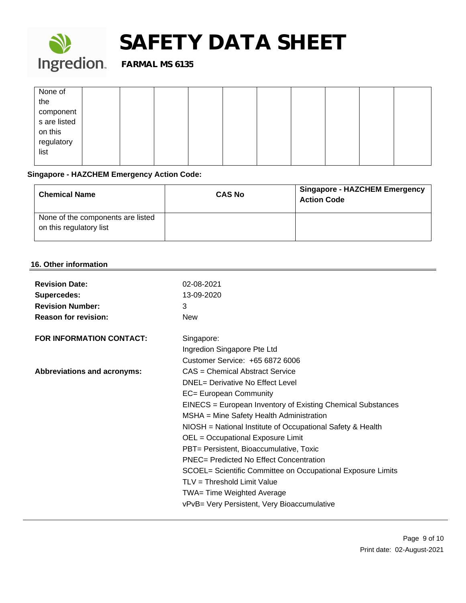

| None of                       |  |  |  |  |  |
|-------------------------------|--|--|--|--|--|
| the                           |  |  |  |  |  |
|                               |  |  |  |  |  |
| component<br>s are listed     |  |  |  |  |  |
|                               |  |  |  |  |  |
| on this<br>regulatory<br>list |  |  |  |  |  |
|                               |  |  |  |  |  |
|                               |  |  |  |  |  |

#### **Singapore - HAZCHEM Emergency Action Code:**

| <b>Chemical Name</b>                                         | <b>CAS No</b> | <b>Singapore - HAZCHEM Emergency</b><br><b>Action Code</b> |
|--------------------------------------------------------------|---------------|------------------------------------------------------------|
| None of the components are listed<br>on this regulatory list |               |                                                            |

#### **16. Other information**

| <b>Revision Date:</b><br><b>Supercedes:</b><br><b>Revision Number:</b><br><b>Reason for revision:</b> | 02-08-2021<br>13-09-2020<br>3<br><b>New</b>                                                                                                                                                                                                                                                                                                                                                                                                                                                                                                                                         |
|-------------------------------------------------------------------------------------------------------|-------------------------------------------------------------------------------------------------------------------------------------------------------------------------------------------------------------------------------------------------------------------------------------------------------------------------------------------------------------------------------------------------------------------------------------------------------------------------------------------------------------------------------------------------------------------------------------|
| <b>FOR INFORMATION CONTACT:</b>                                                                       | Singapore:<br>Ingredion Singapore Pte Ltd<br>Customer Service: +65 6872 6006                                                                                                                                                                                                                                                                                                                                                                                                                                                                                                        |
| <b>Abbreviations and acronyms:</b>                                                                    | CAS = Chemical Abstract Service<br>DNEL= Derivative No Effect Level<br>EC= European Community<br>EINECS = European Inventory of Existing Chemical Substances<br>MSHA = Mine Safety Health Administration<br>NIOSH = National Institute of Occupational Safety & Health<br>OEL = Occupational Exposure Limit<br>PBT= Persistent, Bioaccumulative, Toxic<br><b>PNEC= Predicted No Effect Concentration</b><br>SCOEL= Scientific Committee on Occupational Exposure Limits<br>TLV = Threshold Limit Value<br>TWA= Time Weighted Average<br>vPvB= Very Persistent, Very Bioaccumulative |